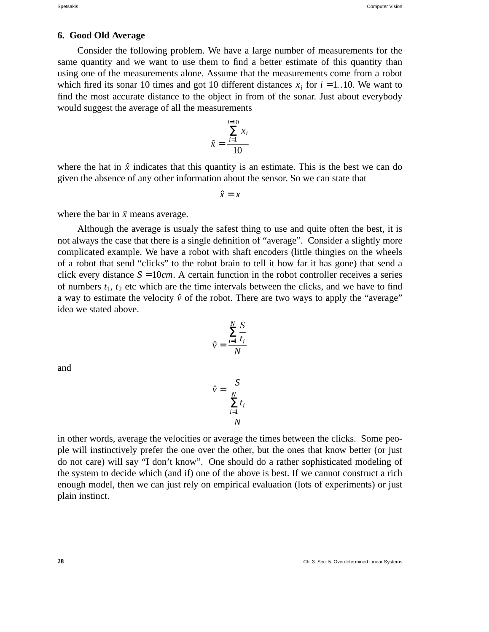## **6. Good Old Average**

Consider the following problem. We have a large number of measurements for the same quantity and we want to use them to find a better estimate of this quantity than using one of the measurements alone. Assume that the measurements come from a robot which fired its sonar 10 times and got 10 different distances  $x_i$  for  $i = 1..10$ . We want to find the most accurate distance to the object in from of the sonar. Just about everybody would suggest the average of all the measurements

$$
\hat{x} = \frac{\sum_{i=1}^{i=10} x_i}{10}
$$

where the hat in  $\hat{x}$  indicates that this quantity is an estimate. This is the best we can do given the absence of any other information about the sensor. So we can state that

 $\hat{x} = \bar{x}$ 

where the bar in  $\bar{x}$  means average.

Although the average is usualy the safest thing to use and quite often the best, it is not always the case that there is a single definition of "average". Consider a slightly more complicated example. We have a robot with shaft encoders (little thingies on the wheels of a robot that send "clicks" to the robot brain to tell it how far it has gone) that send a click every distance  $S = 10$ *cm*. A certain function in the robot controller receives a series of numbers  $t_1$ ,  $t_2$  etc which are the time intervals between the clicks, and we have to find a way to estimate the velocity  $\hat{v}$  of the robot. There are two ways to apply the "average" idea we stated above.

$$
\hat{v} = \frac{\sum_{i=1}^{N} \frac{S}{t_i}}{N}
$$

and

$$
\hat{v} = \frac{S}{\frac{\sum_{i=1}^{N} t_i}{N}}
$$

in other words, average the velocities or average the times between the clicks. Some people will instinctively prefer the one over the other, but the ones that know better (or just do not care) will say "I don't know". One should do a rather sophisticated modeling of the system to decide which (and if) one of the above is best. If we cannot construct a rich enough model, then we can just rely on empirical evaluation (lots of experiments) or just plain instinct.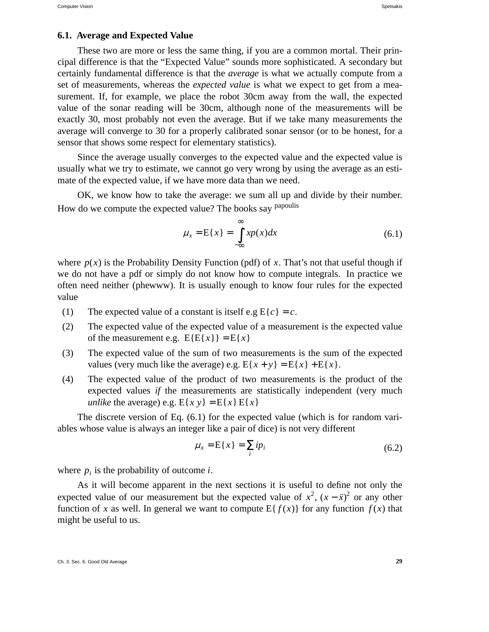#### **6.1. Average and Expected Value**

These two are more or less the same thing, if you are a common mortal. Their principal difference is that the "Expected Value" sounds more sophisticated. A secondary but certainly fundamental difference is that the *average* is what we actually compute from a set of measurements, whereas the *expected value* is what we expect to get from a measurement. If, for example, we place the robot 30cm away from the wall, the expected value of the sonar reading will be 30cm, although none of the measurements will be exactly 30, most probably not even the average. But if we take many measurements the average will converge to 30 for a properly calibrated sonar sensor (or to be honest, for a sensor that shows some respect for elementary statistics).

Since the average usually converges to the expected value and the expected value is usually what we try to estimate, we cannot go very wrong by using the average as an estimate of the expected value, if we have more data than we need.

OK, we know how to take the average: we sum all up and divide by their number. How do we compute the expected value? The books say <sup>papoulis</sup>

$$
\mu_x = E\{x\} = \int_{-\infty}^{\infty} x p(x) dx \tag{6.1}
$$

where  $p(x)$  is the Probability Density Function (pdf) of *x*. That's not that useful though if we do not have a pdf or simply do not know how to compute integrals. In practice we often need neither (phewww). It is usually enough to know four rules for the expected value

- (1) The expected value of a constant is itself e.g  $E{c} = c$ .
- (2) The expected value of the expected value of a measurement is the expected value of the measurement e.g.  $E{E{x}} = E{x}$
- (3) The expected value of the sum of two measurements is the sum of the expected values (very much like the average) e.g.  $E\{x + y\} = E\{x\} + E\{x\}$ .
- (4) The expected value of the product of two measurements is the product of the expected values *if* the measurements are statistically independent (very much *unlike* the average) e.g.  $E\{xy\} = E\{x\}E\{x\}$

The discrete version of Eq. (6.1) for the expected value (which is for random variables whose value is always an integer like a pair of dice) is not very different

$$
\mu_x = \mathcal{E}\{x\} = \sum_i i p_i \tag{6.2}
$$

where  $p_i$  is the probability of outcome *i*.

As it will become apparent in the next sections it is useful to define not only the expected value of our measurement but the expected value of  $x^2$ ,  $(x - \bar{x})^2$  or any other function of *x* as well. In general we want to compute  $E\{f(x)\}\$  for any function  $f(x)$  that might be useful to us.

Ch. 3. Sec. 6. Good Old Average **29**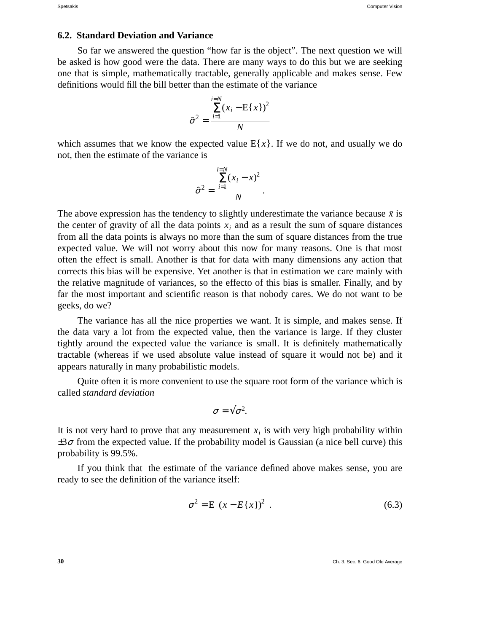#### **6.2. Standard Deviation and Variance**

So far we answered the question "how far is the object". The next question we will be asked is how good were the data. There are many ways to do this but we are seeking one that is simple, mathematically tractable, generally applicable and makes sense. Few definitions would fill the bill better than the estimate of the variance

$$
\hat{\sigma}^2 = \frac{\sum_{i=1}^{i=N} (x_i - \mathbf{E}\{x\})^2}{N}
$$

which assumes that we know the expected value  $E{x}$ . If we do not, and usually we do not, then the estimate of the variance is

$$
\hat{\sigma}^2 = \frac{\sum_{i=1}^{i=N} (x_i - \bar{x})^2}{N}.
$$

The above expression has the tendency to slightly underestimate the variance because  $\bar{x}$  is the center of gravity of all the data points  $x_i$  and as a result the sum of square distances from all the data points is always no more than the sum of square distances from the true expected value. We will not worry about this now for many reasons. One is that most often the effect is small. Another is that for data with many dimensions any action that corrects this bias will be expensive. Yet another is that in estimation we care mainly with the relative magnitude of variances, so the effecto of this bias is smaller. Finally, and by far the most important and scientific reason is that nobody cares. We do not want to be geeks, do we?

The variance has all the nice properties we want. It is simple, and makes sense. If the data vary a lot from the expected value, then the variance is large. If they cluster tightly around the expected value the variance is small. It is definitely mathematically tractable (whereas if we used absolute value instead of square it would not be) and it appears naturally in many probabilistic models.

Quite often it is more convenient to use the square root form of the variance which is called *standard deviation*

$$
\sigma=\sqrt{\sigma^2}.
$$

It is not very hard to prove that any measurement  $x_i$  is with very high probability within  $\pm 3\sigma$  from the expected value. If the probability model is Gaussian (a nice bell curve) this probability is 99.5%.

If you think that the estimate of the variance defined above makes sense, you are ready to see the definition of the variance itself:

$$
\sigma^2 = \mathcal{E}\left\{ (x - E\{x\})^2 \right\}.
$$
\n(6.3)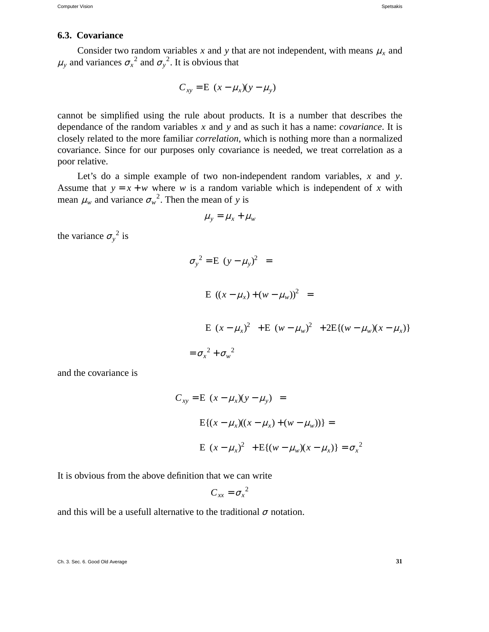# **6.3. Covariance**

Consider two random variables *x* and *y* that are not independent, with means  $\mu_x$  and  $\mu_y$  and variances  $\sigma_x^2$  and  $\sigma_y^2$ . It is obvious that

$$
C_{xy} = E\left\{ (x - \mu_x)(y - \mu_y) \right\}
$$

cannot be simplified using the rule about products. It is a number that describes the dependance of the random variables *x* and *y* and as such it has a name: *covariance*. It is closely related to the more familiar *correlation*, which is nothing more than a normalized covariance. Since for our purposes only covariance is needed, we treat correlation as a poor relative.

Let's do a simple example of two non-independent random variables, *x* and *y*. Assume that  $y = x + w$  where *w* is a random variable which is independent of *x* with mean  $\mu_w$  and variance  $\sigma_w^2$ . Then the mean of *y* is

$$
\mu_{y} = \mu_{x} + \mu_{w}
$$

the variance  $\sigma_y^2$  is

$$
\sigma_y^2 = E \left\{ (y - \mu_y)^2 \right\} =
$$
  
\n
$$
E \left\{ ((x - \mu_x) + (w - \mu_w))^2 \right\} =
$$
  
\n
$$
E \left\{ (x - \mu_x)^2 \right\} + E \left\{ (w - \mu_w)^2 \right\} + 2E \{ (w - \mu_w)(x - \mu_x) \}
$$
  
\n
$$
= \sigma_x^2 + \sigma_w^2
$$

and the covariance is

$$
C_{xy} = E\left\{ (x - \mu_x)(y - \mu_y) \right\} =
$$
  
\n
$$
E\{(x - \mu_x)((x - \mu_x) + (w - \mu_w))\} =
$$
  
\n
$$
E\left\{ (x - \mu_x)^2 \right\} + E\{(w - \mu_w)(x - \mu_x)\} = \sigma_x^2
$$

It is obvious from the above definition that we can write

$$
C_{xx} = \sigma_x^2
$$

and this will be a usefull alternative to the traditional  $\sigma$  notation.

Ch. 3. Sec. 6. Good Old Average **31**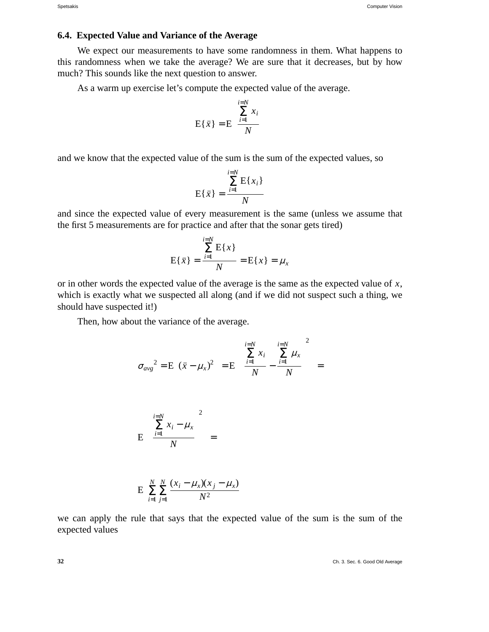### **6.4. Expected Value and Variance of the Average**

We expect our measurements to have some randomness in them. What happens to this randomness when we take the average? We are sure that it decreases, but by how much? This sounds like the next question to answer.

As a warm up exercise let's compute the expected value of the average.

$$
E\{\bar{x}\} = E\left\{\frac{\sum_{i=1}^{i=N} x_i}{N}\right\}
$$

and we know that the expected value of the sum is the sum of the expected values, so

$$
E\{\bar{x}\} = \frac{\sum_{i=1}^{i=N} E\{x_i\}}{N}
$$

and since the expected value of every measurement is the same (unless we assume that the first 5 measurements are for practice and after that the sonar gets tired)

$$
E\{\bar{x}\} = \frac{\sum_{i=1}^{i=N} E\{x\}}{N} = E\{x\} = \mu_x
$$

or in other words the expected value of the average is the same as the expected value of *x*, which is exactly what we suspected all along (and if we did not suspect such a thing, we should have suspected it!)

Then, how about the variance of the average.

$$
\sigma_{avg}^{2} = E\left\{ (\bar{x} - \mu_{x})^{2} \right\} = E\left\{ \left( \frac{\sum_{i=1}^{i=N} x_{i}}{N} - \frac{\sum_{i=1}^{i=N} \mu_{x}}{N} \right) \right\} =
$$

$$
E\left\{ \left( \frac{\sum_{i=1}^{i=N} x_{i} - \mu_{x}}{N} \right) \right\} =
$$

$$
E\left\{ \sum_{i=1}^{N} \sum_{j=1}^{N} \frac{(x_{i} - \mu_{x})(x_{j} - \mu_{x})}{N^{2}} \right\}
$$

we can apply the rule that says that the expected value of the sum is the sum of the expected values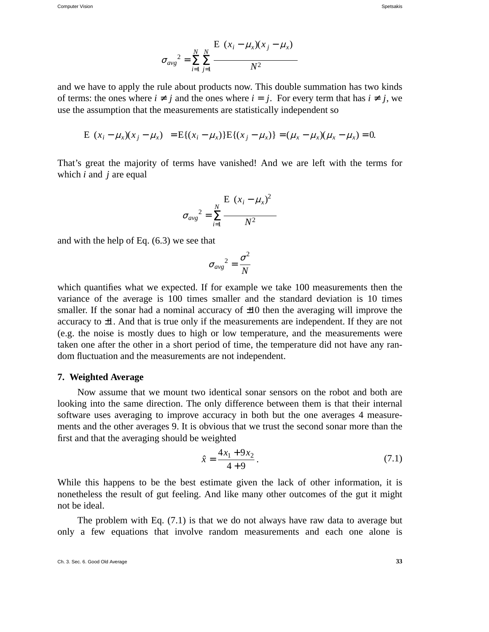Computer Vision Spetsakis (Special Special Special Special Special Special Special Special Special Special Special Special Special Special Special Special Special Special Special Special Special Special Special Special Spe

$$
\sigma_{avg}^{2} = \sum_{i=1}^{N} \sum_{j=1}^{N} \frac{E \left\{ (x_i - \mu_x)(x_j - \mu_x) \right\}}{N^2}
$$

and we have to apply the rule about products now. This double summation has two kinds of terms: the ones where  $i \neq j$  and the ones where  $i = j$ . For every term that has  $i \neq j$ , we use the assumption that the measurements are statistically independent so

$$
E\left\{ (x_i - \mu_x)(x_j - \mu_x) \right\} = E\{(x_i - \mu_x)\} E\{(x_j - \mu_x)\} = (\mu_x - \mu_x)(\mu_x - \mu_x) = 0.
$$

That's great the majority of terms have vanished! And we are left with the terms for which *i* and *j* are equal

$$
\sigma_{avg}^{2} = \sum_{i=1}^{N} \frac{E \left\{ (x_i - \mu_x)^2 \right\}}{N^2}
$$

and with the help of Eq. (6.3) we see that

$$
\sigma_{avg}^2 = \frac{\sigma^2}{N}
$$

which quantifies what we expected. If for example we take 100 measurements then the variance of the average is 100 times smaller and the standard deviation is 10 times smaller. If the sonar had a nominal accuracy of  $\pm 10$  then the averaging will improve the accuracy to ±1. And that is true only if the measurements are independent. If they are not (e.g. the noise is mostly dues to high or low temperature, and the measurements were taken one after the other in a short period of time, the temperature did not have any random fluctuation and the measurements are not independent.

## **7. Weighted Average**

Now assume that we mount two identical sonar sensors on the robot and both are looking into the same direction. The only difference between them is that their internal software uses averaging to improve accuracy in both but the one averages 4 measurements and the other averages 9. It is obvious that we trust the second sonar more than the first and that the averaging should be weighted

$$
\hat{x} = \frac{4x_1 + 9x_2}{4+9} \,. \tag{7.1}
$$

While this happens to be the best estimate given the lack of other information, it is nonetheless the result of gut feeling. And like many other outcomes of the gut it might not be ideal.

The problem with Eq. (7.1) is that we do not always have raw data to average but only a few equations that involve random measurements and each one alone is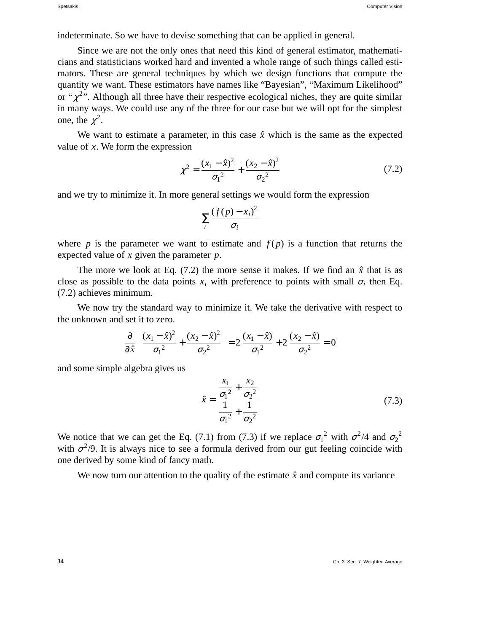indeterminate. So we have to devise something that can be applied in general.

Since we are not the only ones that need this kind of general estimator, mathematicians and statisticians worked hard and invented a whole range of such things called estimators. These are general techniques by which we design functions that compute the quantity we want. These estimators have names like "Bayesian", "Maximum Likelihood" or " $\chi^{2}$ ". Although all three have their respective ecological niches, they are quite similar in many ways. We could use any of the three for our case but we will opt for the simplest one, the  $\chi^2$ .

We want to estimate a parameter, in this case  $\hat{x}$  which is the same as the expected value of *x*. We form the expression

$$
\chi^2 = \frac{(x_1 - \hat{x})^2}{\sigma_1^2} + \frac{(x_2 - \hat{x})^2}{\sigma_2^2} \tag{7.2}
$$

and we try to minimize it. In more general settings we would form the expression

$$
\sum_{i}\frac{(f(p)-x_i)^2}{\sigma_i}
$$

where *p* is the parameter we want to estimate and  $f(p)$  is a function that returns the expected value of *x* given the parameter *p*.

The more we look at Eq. (7.2) the more sense it makes. If we find an  $\hat{x}$  that is as close as possible to the data points  $x_i$  with preference to points with small  $\sigma_i$  then Eq. (7.2) achieves minimum.

We now try the standard way to minimize it. We take the derivative with respect to the unknown and set it to zero.

$$
\frac{\partial}{\partial \hat{x}} \left( \frac{(x_1 - \hat{x})^2}{\sigma_1^2} + \frac{(x_2 - \hat{x})^2}{\sigma_2^2} \right) = 2 \frac{(x_1 - \hat{x})}{\sigma_1^2} + 2 \frac{(x_2 - \hat{x})}{\sigma_2^2} = 0
$$

and some simple algebra gives us

$$
\hat{x} = \frac{\frac{x_1}{\sigma_1^2} + \frac{x_2}{\sigma_2^2}}{\frac{1}{\sigma_1^2} + \frac{1}{\sigma_2^2}}
$$
\n(7.3)

We notice that we can get the Eq. (7.1) from (7.3) if we replace  $\sigma_1^2$  with  $\sigma^2/4$  and  $\sigma_2^2$ with  $\sigma^2/9$ . It is always nice to see a formula derived from our gut feeling coincide with one derived by some kind of fancy math.

We now turn our attention to the quality of the estimate  $\hat{x}$  and compute its variance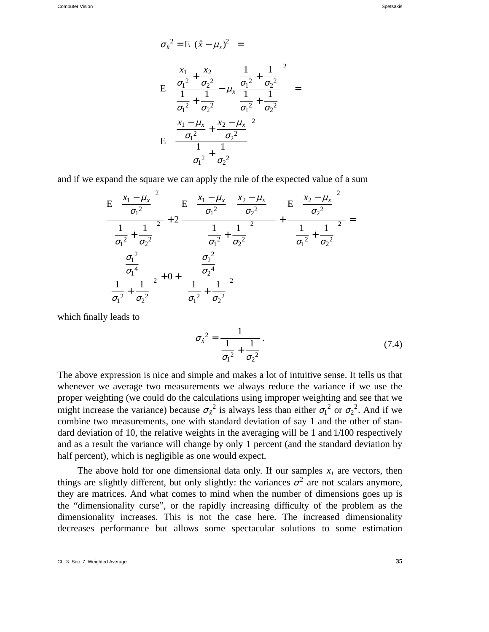$$
\sigma_{\hat{x}}^{2} = E \left\{ (\hat{x} - \mu_{x})^{2} \right\} =
$$
\n
$$
E \left\{ \left( \frac{\frac{x_{1}}{\sigma_{1}^{2}} + \frac{x_{2}}{\sigma_{2}^{2}}}{\frac{1}{\sigma_{1}^{2}} + \frac{1}{\sigma_{2}^{2}}} - \mu_{x} \frac{\frac{1}{\sigma_{1}^{2}} + \frac{1}{\sigma_{2}^{2}}}{\frac{1}{\sigma_{1}^{2}} + \frac{1}{\sigma_{2}^{2}}} \right) \right\} =
$$
\n
$$
E \left\{ \left( \frac{\frac{x_{1} - \mu_{x}}{\sigma_{1}^{2}} + \frac{x_{2} - \mu_{x}}{\sigma_{2}^{2}}}{\frac{1}{\sigma_{1}^{2}} + \frac{1}{\sigma_{2}^{2}}} \right) \right\}
$$

and if we expand the square we can apply the rule of the expected value of a sum

$$
\frac{E\left\{\left(\frac{x_1 - \mu_x}{\sigma_1^2}\right)^2\right\}}{\left(\frac{1}{\sigma_1^2} + \frac{1}{\sigma_2^2}\right)^2} + 2 \frac{E\left\{\left(\frac{x_1 - \mu_x}{\sigma_1^2}\right)\left(\frac{x_2 - \mu_x}{\sigma_2^2}\right)\right\}}{\left(\frac{1}{\sigma_1^2} + \frac{1}{\sigma_2^2}\right)^2} + \frac{E\left\{\left(\frac{x_2 - \mu_x}{\sigma_2^2}\right)^2\right\}}{\left(\frac{1}{\sigma_1^2} + \frac{1}{\sigma_2^2}\right)^2} = \frac{\sigma_1^2}{\left(\frac{1}{\sigma_1^2} + \frac{1}{\sigma_2^2}\right)^2}
$$

which finally leads to

$$
\sigma_{\hat{x}}^2 = \frac{1}{\frac{1}{\sigma_1^2} + \frac{1}{\sigma_2^2}}.
$$
\n(7.4)

The above expression is nice and simple and makes a lot of intuitive sense. It tells us that whenever we average two measurements we always reduce the variance if we use the proper weighting (we could do the calculations using improper weighting and see that we might increase the variance) because  $\sigma_{\hat{x}}^2$  is always less than either  $\sigma_1^2$  or  $\sigma_2^2$ . And if we combine two measurements, one with standard deviation of say 1 and the other of standard deviation of 10, the relative weights in the averaging will be 1 and 1/100 respectively and as a result the variance will change by only 1 percent (and the standard deviation by half percent), which is negligible as one would expect.

The above hold for one dimensional data only. If our samples  $x_i$  are vectors, then things are slightly different, but only slightly: the variances  $\sigma^2$  are not scalars anymore, they are matrices. And what comes to mind when the number of dimensions goes up is the "dimensionality curse", or the rapidly increasing difficulty of the problem as the dimensionality increases. This is not the case here. The increased dimensionality decreases performance but allows some spectacular solutions to some estimation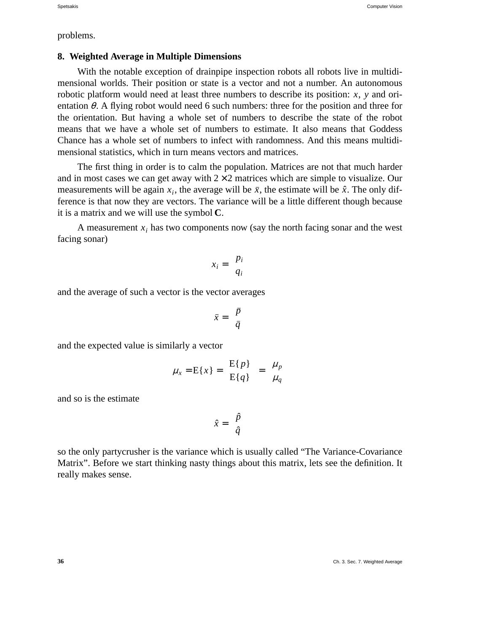problems.

# **8. Weighted Average in Multiple Dimensions**

With the notable exception of drainpipe inspection robots all robots live in multidimensional worlds. Their position or state is a vector and not a number. An autonomous robotic platform would need at least three numbers to describe its position: *x*, *y* and orientation  $\theta$ . A flying robot would need 6 such numbers: three for the position and three for the orientation. But having a whole set of numbers to describe the state of the robot means that we have a whole set of numbers to estimate. It also means that Goddess Chance has a whole set of numbers to infect with randomness. And this means multidimensional statistics, which in turn means vectors and matrices.

The first thing in order is to calm the population. Matrices are not that much harder and in most cases we can get away with  $2 \times 2$  matrices which are simple to visualize. Our measurements will be again  $x_i$ , the average will be  $\bar{x}$ , the estimate will be  $\hat{x}$ . The only difference is that now they are vectors. The variance will be a little different though because it is a matrix and we will use the symbol **C**.

A measurement  $x_i$  has two components now (say the north facing sonar and the west facing sonar)

$$
x_i = \left[ \begin{array}{c} p_i \\ q_i \end{array} \right]
$$

and the average of such a vector is the vector averages

$$
\bar{x} = \left[ \begin{array}{c} \bar{p} \\ \bar{q} \end{array} \right]
$$

and the expected value is similarly a vector

$$
\mu_x = \mathbf{E}\{x\} = \begin{bmatrix} \mathbf{E}\{p\} \\ \mathbf{E}\{q\} \end{bmatrix} = \begin{bmatrix} \mu_p \\ \mu_q \end{bmatrix}
$$

and so is the estimate

$$
\hat{x} = \left[\begin{array}{c} \hat{p} \\ \hat{q} \end{array}\right]
$$

so the only partycrusher is the variance which is usually called "The Variance-Covariance Matrix". Before we start thinking nasty things about this matrix, lets see the definition. It really makes sense.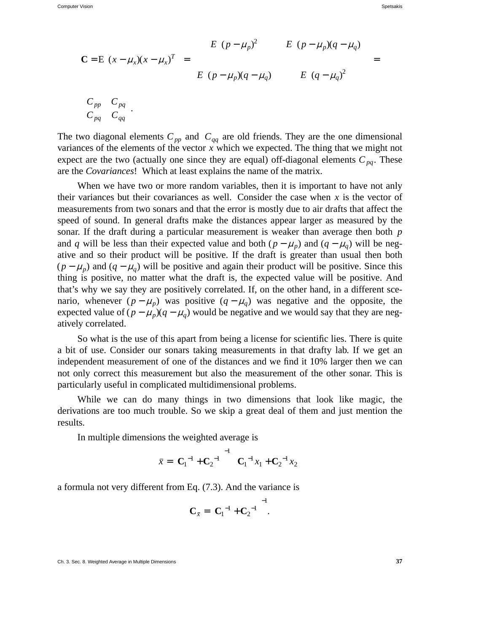$$
\mathbf{C} = \mathbf{E} \left\{ (x - \mu_x)(x - \mu_x)^T \right\} = \begin{bmatrix} E \left\{ (p - \mu_p)^2 \right\} & E \left\{ (p - \mu_p)(q - \mu_q) \right\} \\ E \left\{ (p - \mu_p)(q - \mu_q) \right\} & E \left\{ (q - \mu_q)^2 \right\} \end{bmatrix} = \begin{bmatrix} C_{pp} & C_{pq} \\ C_{pq} & C_{qq} \end{bmatrix}
$$

The two diagonal elements  $C_{pp}$  and  $C_{qq}$  are old friends. They are the one dimensional variances of the elements of the vector *x* which we expected. The thing that we might not expect are the two (actually one since they are equal) off-diagonal elements  $C_{pq}$ . These are the *Covariances*! Which at least explains the name of the matrix.

When we have two or more random variables, then it is important to have not anly their variances but their covariances as well. Consider the case when  $x$  is the vector of measurements from two sonars and that the error is mostly due to air drafts that affect the speed of sound. In general drafts make the distances appear larger as measured by the sonar. If the draft during a particular measurement is weaker than average then both *p* and *q* will be less than their expected value and both  $(p - \mu_p)$  and  $(q - \mu_q)$  will be negative and so their product will be positive. If the draft is greater than usual then both  $(p - \mu_p)$  and  $(q - \mu_q)$  will be positive and again their product will be positive. Since this thing is positive, no matter what the draft is, the expected value will be positive. And that's why we say they are positively correlated. If, on the other hand, in a different scenario, whenever  $(p - \mu_p)$  was positive  $(q - \mu_q)$  was negative and the opposite, the expected value of  $(p - \mu_p)(q - \mu_q)$  would be negative and we would say that they are negatively correlated.

So what is the use of this apart from being a license for scientific lies. There is quite a bit of use. Consider our sonars taking measurements in that drafty lab. If we get an independent measurement of one of the distances and we find it 10% larger then we can not only correct this measurement but also the measurement of the other sonar. This is particularly useful in complicated multidimensional problems.

While we can do many things in two dimensions that look like magic, the derivations are too much trouble. So we skip a great deal of them and just mention the results.

In multiple dimensions the weighted average is

$$
\bar{x} = \left(\mathbf{C}_1^{-1} + \mathbf{C}_2^{-1}\right)^{-1} \left(\mathbf{C}_1^{-1} x_1 + \mathbf{C}_2^{-1} x_2\right)
$$

a formula not very different from Eq. (7.3). And the variance is

$$
\mathbf{C}_{\bar{x}} = \left( \mathbf{C}_1^{-1} + \mathbf{C}_2^{-1} \right)^{-1}.
$$

Ch. 3. Sec. 8. Weighted Average in Multiple Dimensions **37**